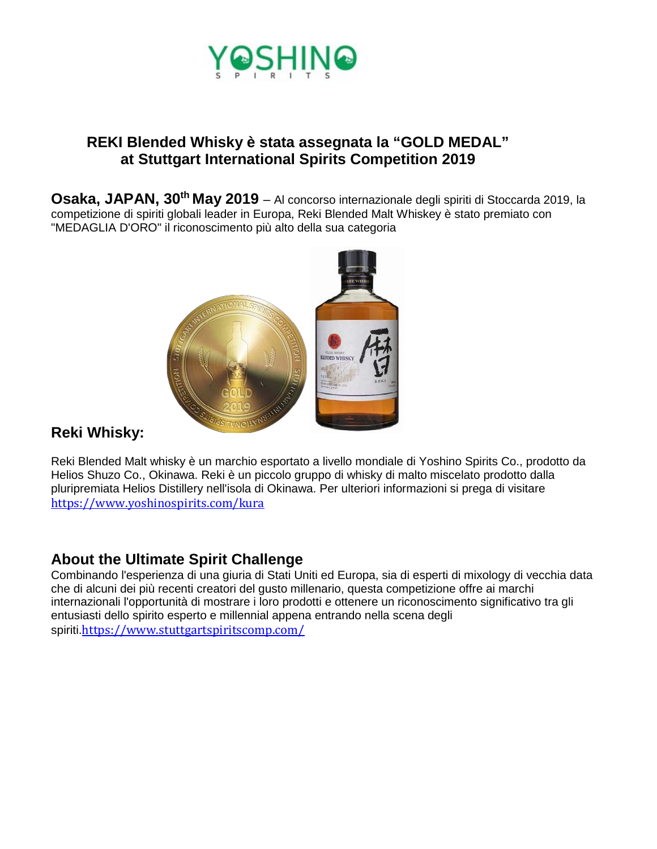

### **REKI Blended Whisky è stata assegnata la "GOLD MEDAL" at Stuttgart International Spirits Competition 2019**

**Osaka, JAPAN, 30th May 2019** – Al concorso internazionale degli spiriti di Stoccarda 2019, la competizione di spiriti globali leader in Europa, Reki Blended Malt Whiskey è stato premiato con "MEDAGLIA D'ORO" il riconoscimento più alto della sua categoria



## **Reki Whisky:**

Reki Blended Malt whisky è un marchio esportato a livello mondiale di Yoshino Spirits Co., prodotto da Helios Shuzo Co., Okinawa. Reki è un piccolo gruppo di whisky di malto miscelato prodotto dalla pluripremiata Helios Distillery nell'isola di Okinawa. Per ulteriori informazioni si prega di visitare [https://www.yoshinospirits.com/k](https://www.yoshinospirits.com/)ura

#### **About the Ultimate Spirit Challenge**

Combinando l'esperienza di una giuria di Stati Uniti ed Europa, sia di esperti di mixology di vecchia data che di alcuni dei più recenti creatori del gusto millenario, questa competizione offre ai marchi internazionali l'opportunità di mostrare i loro prodotti e ottenere un riconoscimento significativo tra gli entusiasti dello spirito esperto e millennial appena entrando nella scena degli spiriti.<https://www.stuttgartspiritscomp.com/>